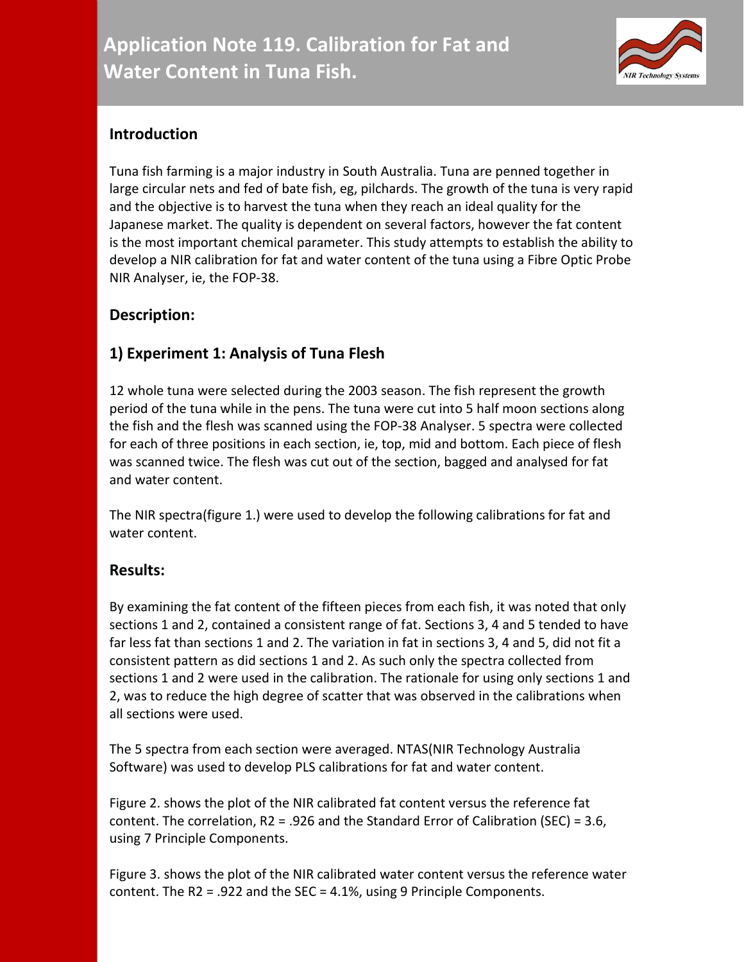

## **Introduction**

Tuna fish farming is a major industry in South Australia. Tuna are penned together in large circular nets and fed of bate fish, eg, pilchards. The growth of the tuna is very rapid and the objective is to harvest the tuna when they reach an ideal quality for the Japanese market. The quality is dependent on several factors, however the fat content is the most important chemical parameter. This study attempts to establish the ability to develop a NIR calibration for fat and water content of the tuna using a Fibre Optic Probe NIR Analyser, ie, the FOP-38.

## **Description:**

# **1) Experiment 1: Analysis of Tuna Flesh**

12 whole tuna were selected during the 2003 season. The fish represent the growth period of the tuna while in the pens. The tuna were cut into 5 half moon sections along the fish and the flesh was scanned using the FOP-38 Analyser. 5 spectra were collected for each of three positions in each section, ie, top, mid and bottom. Each piece of flesh was scanned twice. The flesh was cut out of the section, bagged and analysed for fat and water content.

The NIR spectra(figure 1.) were used to develop the following calibrations for fat and water content.

## **Results:**

By examining the fat content of the fifteen pieces from each fish, it was noted that only sections 1 and 2, contained a consistent range of fat. Sections 3, 4 and 5 tended to have far less fat than sections 1 and 2. The variation in fat in sections 3, 4 and 5, did not fit a consistent pattern as did sections 1 and 2. As such only the spectra collected from sections 1 and 2 were used in the calibration. The rationale for using only sections 1 and 2, was to reduce the high degree of scatter that was observed in the calibrations when all sections were used.

The 5 spectra from each section were averaged. NTAS(NIR Technology Australia Software) was used to develop PLS calibrations for fat and water content.

Figure 2. shows the plot of the NIR calibrated fat content versus the reference fat content. The correlation, R2 = .926 and the Standard Error of Calibration (SEC) = 3.6, using 7 Principle Components.

Figure 3. shows the plot of the NIR calibrated water content versus the reference water content. The R2 = .922 and the SEC = 4.1%, using 9 Principle Components.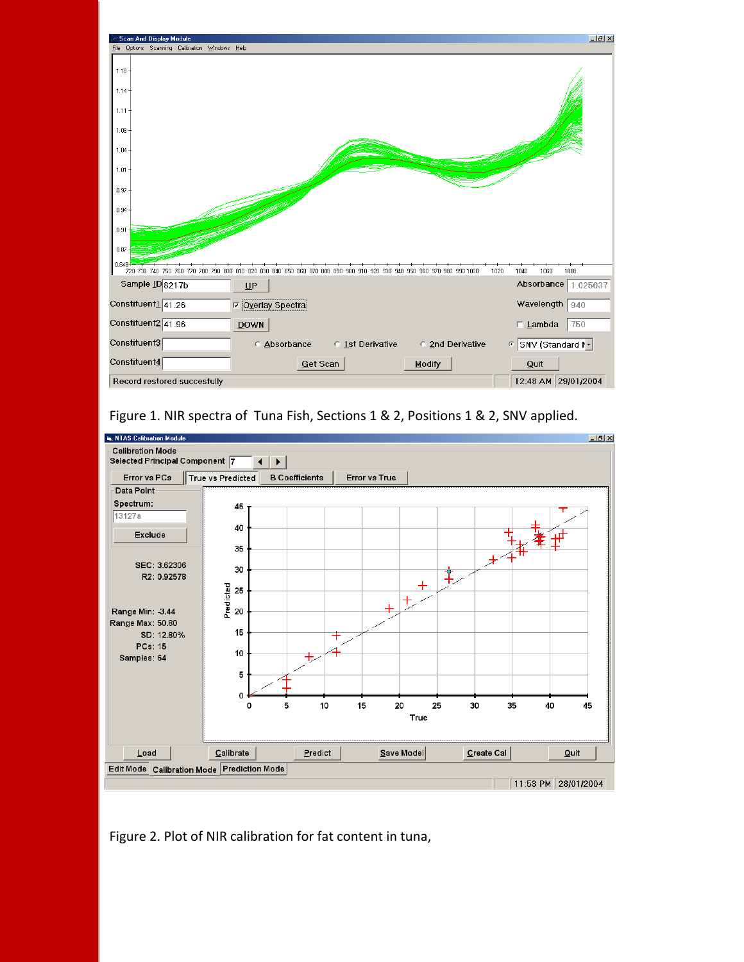





Figure 2. Plot of NIR calibration for fat content in tuna,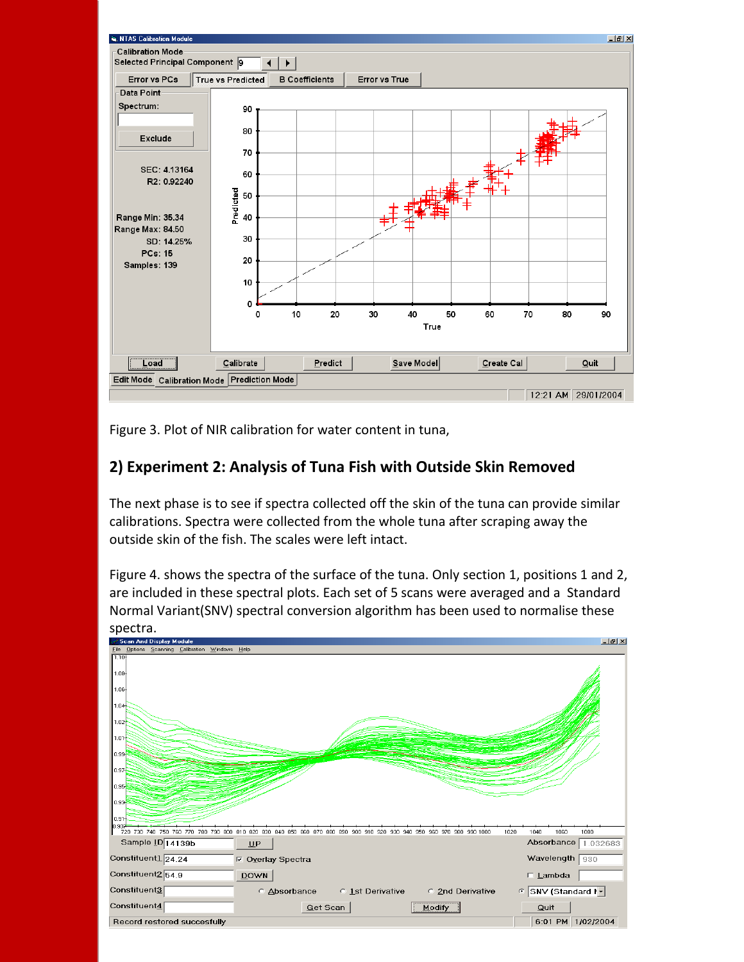

Figure 3. Plot of NIR calibration for water content in tuna,

## **2) Experiment 2: Analysis of Tuna Fish with Outside Skin Removed**

The next phase is to see if spectra collected off the skin of the tuna can provide similar calibrations. Spectra were collected from the whole tuna after scraping away the outside skin of the fish. The scales were left intact.

Figure 4. shows the spectra of the surface of the tuna. Only section 1, positions 1 and 2, are included in these spectral plots. Each set of 5 scans were averaged and a Standard Normal Variant(SNV) spectral conversion algorithm has been used to normalise these spectra.

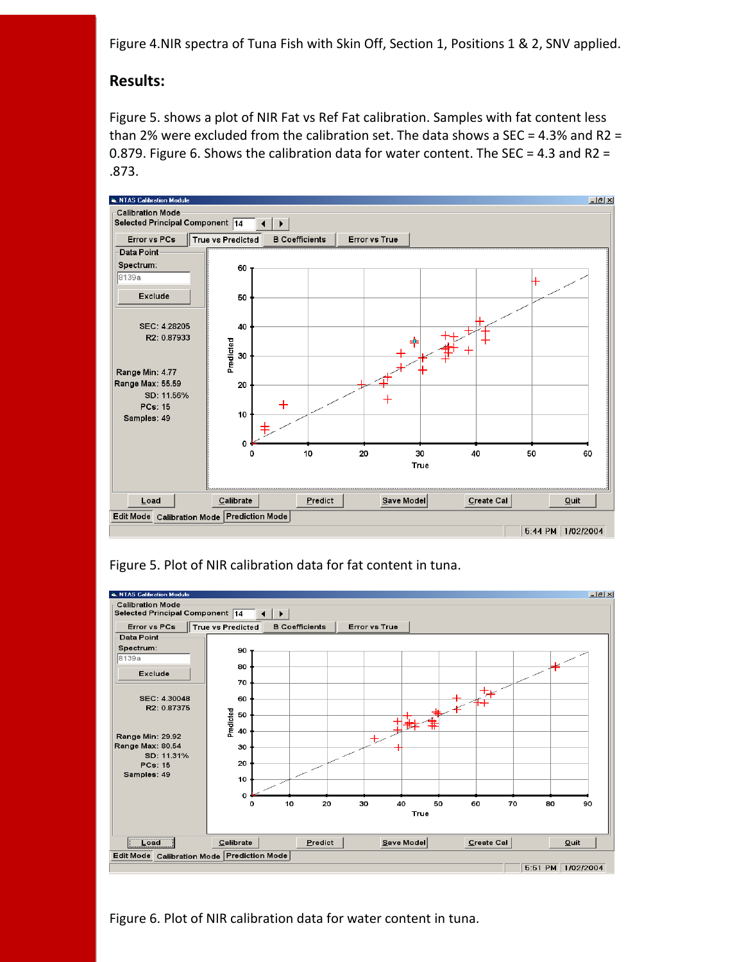Figure 4.NIR spectra of Tuna Fish with Skin Off, Section 1, Positions 1 & 2, SNV applied.

#### **Results:**

Figure 5. shows a plot of NIR Fat vs Ref Fat calibration. Samples with fat content less than 2% were excluded from the calibration set. The data shows a SEC = 4.3% and R2 = 0.879. Figure 6. Shows the calibration data for water content. The SEC = 4.3 and R2 = .873.



Figure 5. Plot of NIR calibration data for fat content in tuna.



Figure 6. Plot of NIR calibration data for water content in tuna.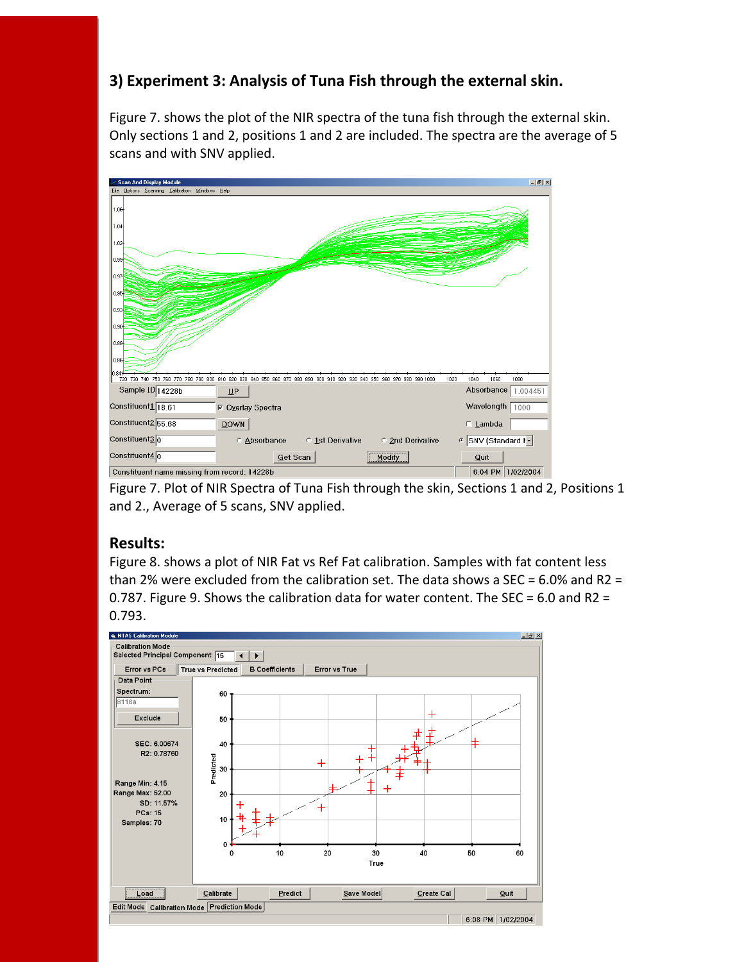# **3) Experiment 3: Analysis of Tuna Fish through the external skin.**

Figure 7. shows the plot of the NIR spectra of the tuna fish through the external skin. Only sections 1 and 2, positions 1 and 2 are included. The spectra are the average of 5 scans and with SNV applied.



Figure 7. Plot of NIR Spectra of Tuna Fish through the skin, Sections 1 and 2, Positions 1 and 2., Average of 5 scans, SNV applied.

#### **Results:**

Figure 8. shows a plot of NIR Fat vs Ref Fat calibration. Samples with fat content less than 2% were excluded from the calibration set. The data shows a SEC =  $6.0\%$  and R2 = 0.787. Figure 9. Shows the calibration data for water content. The SEC = 6.0 and R2 = 0.793.

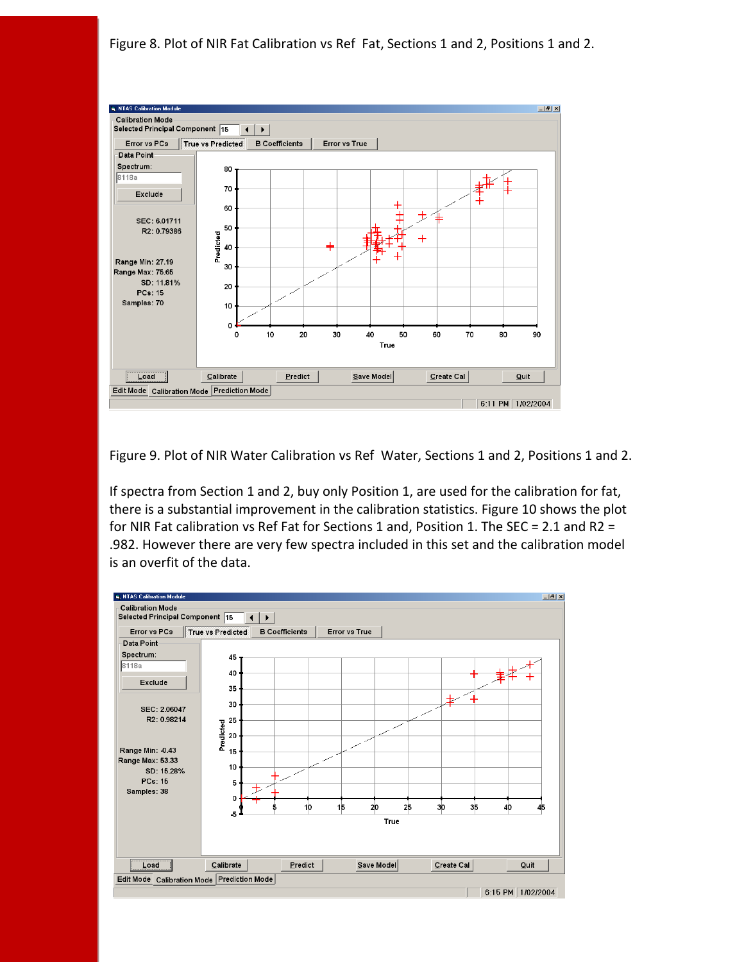Figure 8. Plot of NIR Fat Calibration vs Ref Fat, Sections 1 and 2, Positions 1 and 2.



Figure 9. Plot of NIR Water Calibration vs Ref Water, Sections 1 and 2, Positions 1 and 2.

If spectra from Section 1 and 2, buy only Position 1, are used for the calibration for fat, there is a substantial improvement in the calibration statistics. Figure 10 shows the plot for NIR Fat calibration vs Ref Fat for Sections 1 and, Position 1. The SEC = 2.1 and R2 = .982. However there are very few spectra included in this set and the calibration model is an overfit of the data.